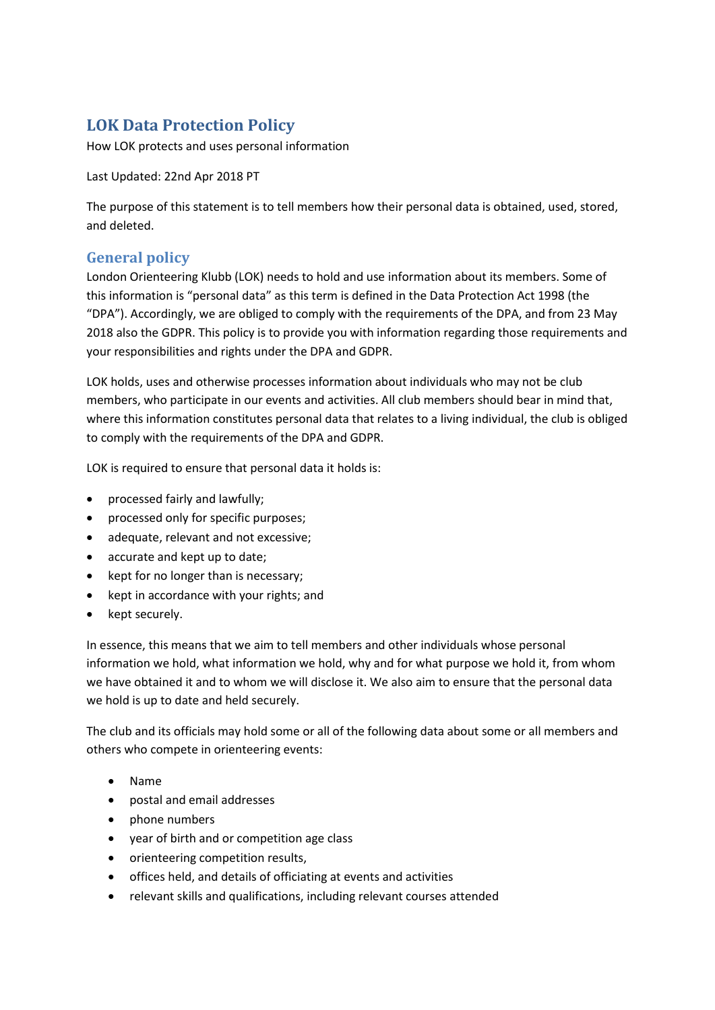# **LOK Data Protection Policy**

How LOK protects and uses personal information

Last Updated: 22nd Apr 2018 PT

The purpose of this statement is to tell members how their personal data is obtained, used, stored, and deleted.

# **General policy**

London Orienteering Klubb (LOK) needs to hold and use information about its members. Some of this information is "personal data" as this term is defined in the Data Protection Act 1998 (the "DPA"). Accordingly, we are obliged to comply with the requirements of the DPA, and from 23 May 2018 also the GDPR. This policy is to provide you with information regarding those requirements and your responsibilities and rights under the DPA and GDPR.

LOK holds, uses and otherwise processes information about individuals who may not be club members, who participate in our events and activities. All club members should bear in mind that, where this information constitutes personal data that relates to a living individual, the club is obliged to comply with the requirements of the DPA and GDPR.

LOK is required to ensure that personal data it holds is:

- processed fairly and lawfully;
- processed only for specific purposes;
- adequate, relevant and not excessive;
- accurate and kept up to date;
- kept for no longer than is necessary;
- kept in accordance with your rights; and
- kept securely.

In essence, this means that we aim to tell members and other individuals whose personal information we hold, what information we hold, why and for what purpose we hold it, from whom we have obtained it and to whom we will disclose it. We also aim to ensure that the personal data we hold is up to date and held securely.

The club and its officials may hold some or all of the following data about some or all members and others who compete in orienteering events:

- Name
- postal and email addresses
- phone numbers
- year of birth and or competition age class
- orienteering competition results,
- offices held, and details of officiating at events and activities
- relevant skills and qualifications, including relevant courses attended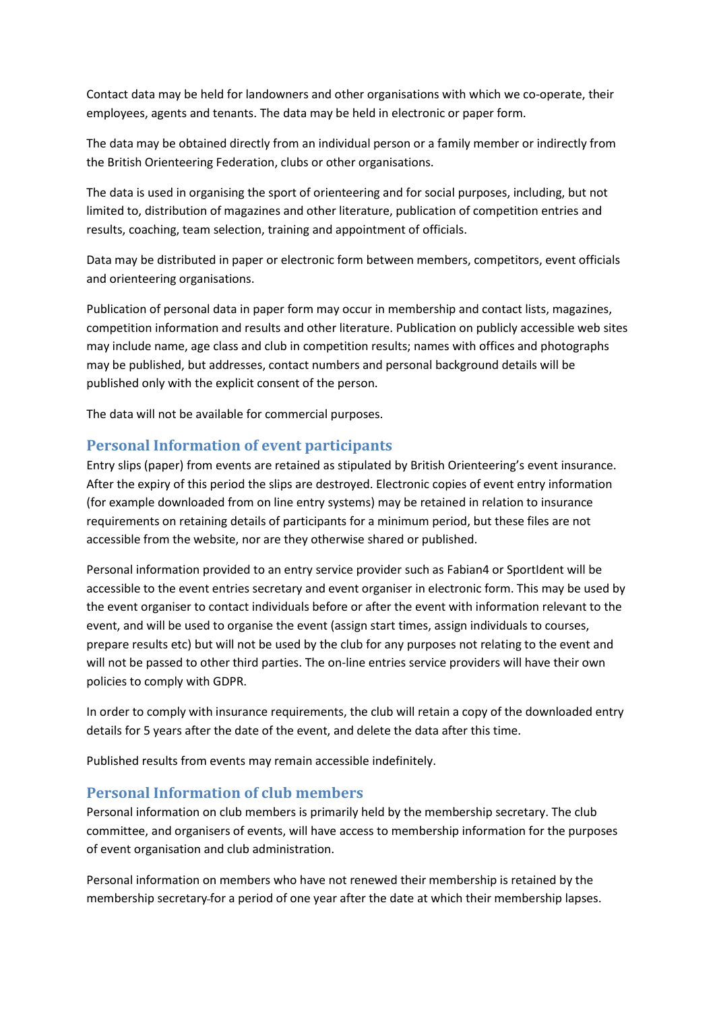Contact data may be held for landowners and other organisations with which we co-operate, their employees, agents and tenants. The data may be held in electronic or paper form.

The data may be obtained directly from an individual person or a family member or indirectly from the British Orienteering Federation, clubs or other organisations.

The data is used in organising the sport of orienteering and for social purposes, including, but not limited to, distribution of magazines and other literature, publication of competition entries and results, coaching, team selection, training and appointment of officials.

Data may be distributed in paper or electronic form between members, competitors, event officials and orienteering organisations.

Publication of personal data in paper form may occur in membership and contact lists, magazines, competition information and results and other literature. Publication on publicly accessible web sites may include name, age class and club in competition results; names with offices and photographs may be published, but addresses, contact numbers and personal background details will be published only with the explicit consent of the person.

The data will not be available for commercial purposes.

#### **Personal Information of event participants**

Entry slips (paper) from events are retained as stipulated by British Orienteering's event insurance. After the expiry of this period the slips are destroyed. Electronic copies of event entry information (for example downloaded from on line entry systems) may be retained in relation to insurance requirements on retaining details of participants for a minimum period, but these files are not accessible from the website, nor are they otherwise shared or published.

Personal information provided to an entry service provider such as Fabian4 or SportIdent will be accessible to the event entries secretary and event organiser in electronic form. This may be used by the event organiser to contact individuals before or after the event with information relevant to the event, and will be used to organise the event (assign start times, assign individuals to courses, prepare results etc) but will not be used by the club for any purposes not relating to the event and will not be passed to other third parties. The on-line entries service providers will have their own policies to comply with GDPR.

In order to comply with insurance requirements, the club will retain a copy of the downloaded entry details for 5 years after the date of the event, and delete the data after this time.

Published results from events may remain accessible indefinitely.

#### **Personal Information of club members**

Personal information on club members is primarily held by the membership secretary. The club committee, and organisers of events, will have access to membership information for the purposes of event organisation and club administration.

Personal information on members who have not renewed their membership is retained by the membership secretary for a period of one year after the date at which their membership lapses.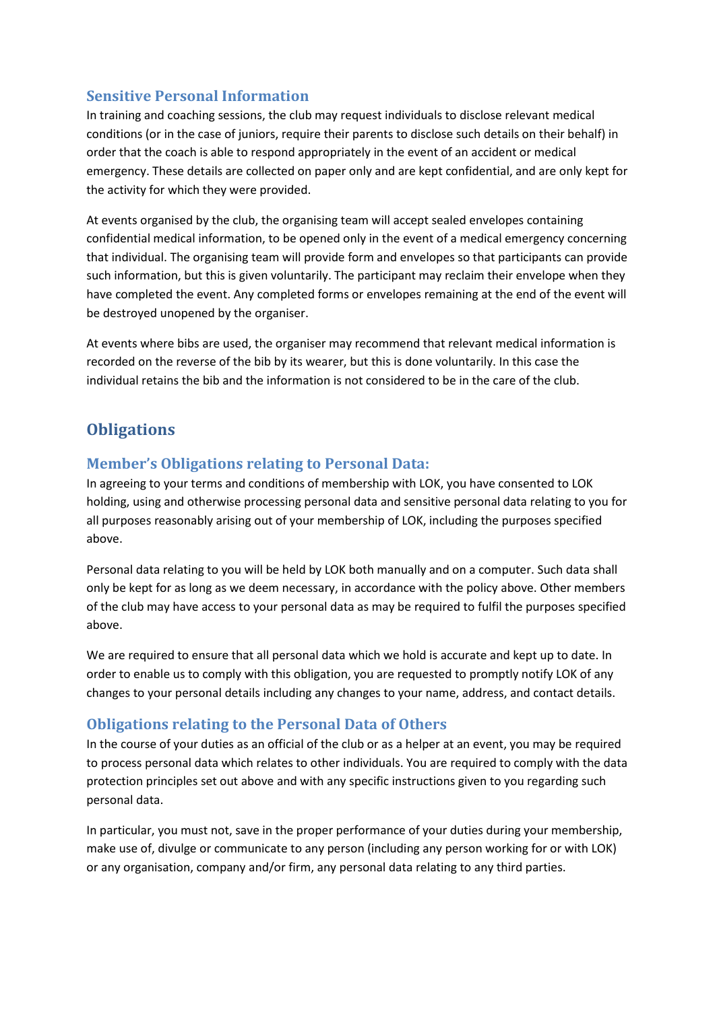#### **Sensitive Personal Information**

In training and coaching sessions, the club may request individuals to disclose relevant medical conditions (or in the case of juniors, require their parents to disclose such details on their behalf) in order that the coach is able to respond appropriately in the event of an accident or medical emergency. These details are collected on paper only and are kept confidential, and are only kept for the activity for which they were provided.

At events organised by the club, the organising team will accept sealed envelopes containing confidential medical information, to be opened only in the event of a medical emergency concerning that individual. The organising team will provide form and envelopes so that participants can provide such information, but this is given voluntarily. The participant may reclaim their envelope when they have completed the event. Any completed forms or envelopes remaining at the end of the event will be destroyed unopened by the organiser.

At events where bibs are used, the organiser may recommend that relevant medical information is recorded on the reverse of the bib by its wearer, but this is done voluntarily. In this case the individual retains the bib and the information is not considered to be in the care of the club.

# **Obligations**

#### **Member's Obligations relating to Personal Data:**

In agreeing to your terms and conditions of membership with LOK, you have consented to LOK holding, using and otherwise processing personal data and sensitive personal data relating to you for all purposes reasonably arising out of your membership of LOK, including the purposes specified above.

Personal data relating to you will be held by LOK both manually and on a computer. Such data shall only be kept for as long as we deem necessary, in accordance with the policy above. Other members of the club may have access to your personal data as may be required to fulfil the purposes specified above.

We are required to ensure that all personal data which we hold is accurate and kept up to date. In order to enable us to comply with this obligation, you are requested to promptly notify LOK of any changes to your personal details including any changes to your name, address, and contact details.

## **Obligations relating to the Personal Data of Others**

In the course of your duties as an official of the club or as a helper at an event, you may be required to process personal data which relates to other individuals. You are required to comply with the data protection principles set out above and with any specific instructions given to you regarding such personal data.

In particular, you must not, save in the proper performance of your duties during your membership, make use of, divulge or communicate to any person (including any person working for or with LOK) or any organisation, company and/or firm, any personal data relating to any third parties.